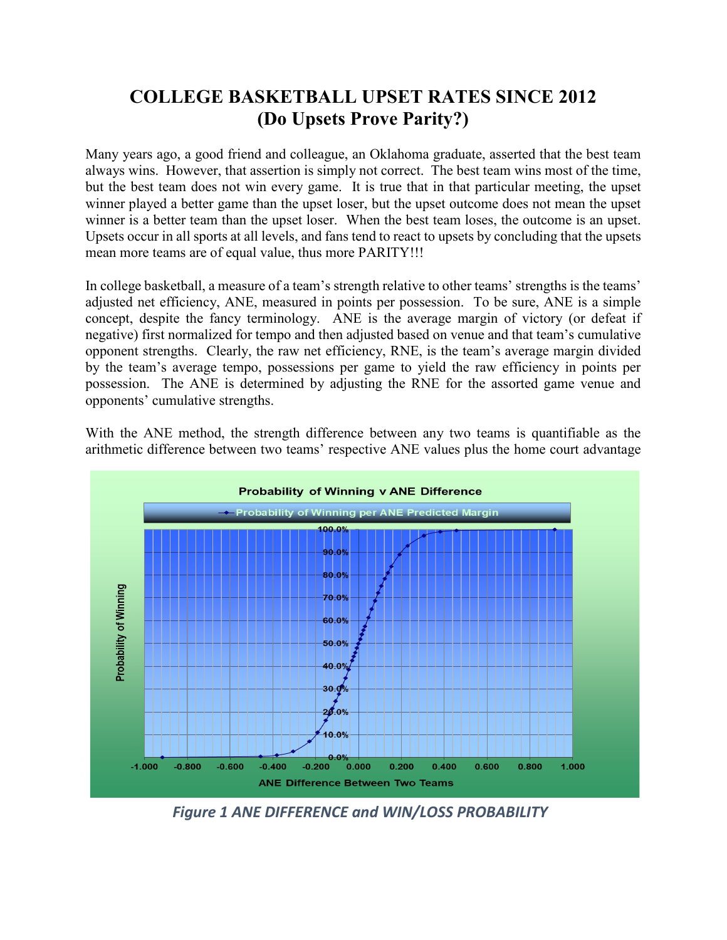## **COLLEGE BASKETBALL UPSET RATES SINCE 2012 (Do Upsets Prove Parity?)**

Many years ago, a good friend and colleague, an Oklahoma graduate, asserted that the best team always wins. However, that assertion is simply not correct. The best team wins most of the time, but the best team does not win every game. It is true that in that particular meeting, the upset winner played a better game than the upset loser, but the upset outcome does not mean the upset winner is a better team than the upset loser. When the best team loses, the outcome is an upset. Upsets occur in all sports at all levels, and fans tend to react to upsets by concluding that the upsets mean more teams are of equal value, thus more PARITY!!!

In college basketball, a measure of a team's strength relative to other teams' strengths is the teams' adjusted net efficiency, ANE, measured in points per possession. To be sure, ANE is a simple concept, despite the fancy terminology. ANE is the average margin of victory (or defeat if negative) first normalized for tempo and then adjusted based on venue and that team's cumulative opponent strengths. Clearly, the raw net efficiency, RNE, is the team's average margin divided by the team's average tempo, possessions per game to yield the raw efficiency in points per possession. The ANE is determined by adjusting the RNE for the assorted game venue and opponents' cumulative strengths.

With the ANE method, the strength difference between any two teams is quantifiable as the arithmetic difference between two teams' respective ANE values plus the home court advantage



*Figure 1 ANE DIFFERENCE and WIN/LOSS PROBABILITY*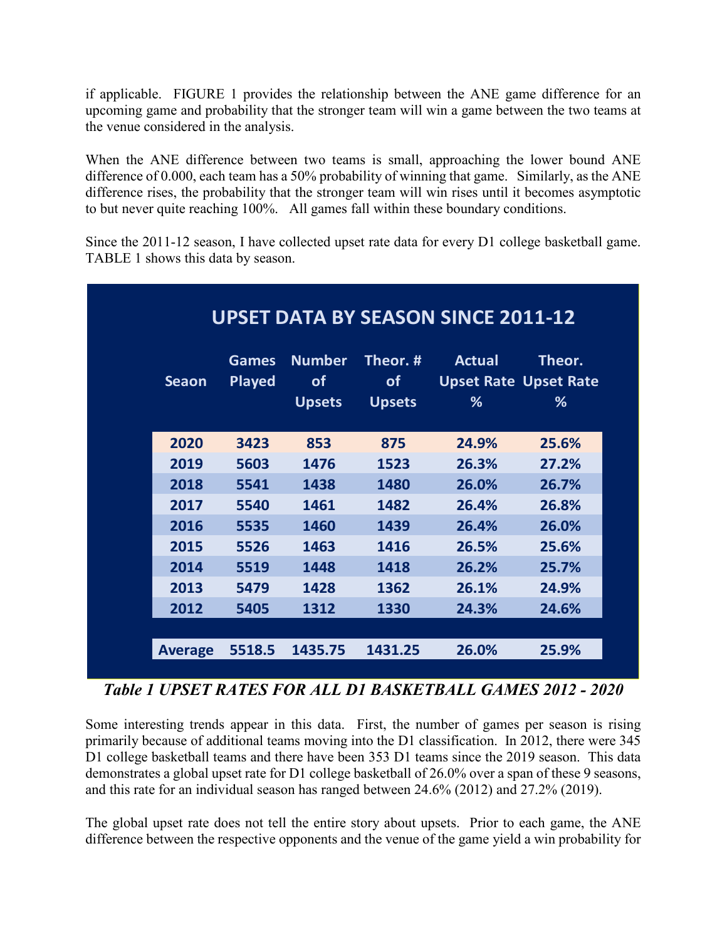if applicable. FIGURE 1 provides the relationship between the ANE game difference for an upcoming game and probability that the stronger team will win a game between the two teams at the venue considered in the analysis.

When the ANE difference between two teams is small, approaching the lower bound ANE difference of 0.000, each team has a 50% probability of winning that game. Similarly, as the ANE difference rises, the probability that the stronger team will win rises until it becomes asymptotic to but never quite reaching 100%. All games fall within these boundary conditions.

Since the 2011-12 season, I have collected upset rate data for every D1 college basketball game. TABLE 1 shows this data by season.

|                |                               |                                      |                                        | <b>UPSET DATA BY SEASON SINCE 2011-12</b>   |             |
|----------------|-------------------------------|--------------------------------------|----------------------------------------|---------------------------------------------|-------------|
| <b>Seaon</b>   | <b>Games</b><br><b>Played</b> | <b>Number</b><br>of<br><b>Upsets</b> | Theor. #<br><b>of</b><br><b>Upsets</b> | Actual<br><b>Upset Rate Upset Rate</b><br>% | Theor.<br>% |
| 2020           | 3423                          | 853                                  | 875                                    | 24.9%                                       | 25.6%       |
| 2019           | 5603                          | 1476                                 | 1523                                   | 26.3%                                       | 27.2%       |
| 2018           | 5541                          | 1438                                 | 1480                                   | 26.0%                                       | 26.7%       |
| 2017           | 5540                          | 1461                                 | 1482                                   | 26.4%                                       | 26.8%       |
| 2016           | 5535                          | 1460                                 | 1439                                   | 26.4%                                       | 26.0%       |
| 2015           | 5526                          | 1463                                 | 1416                                   | 26.5%                                       | 25.6%       |
| 2014           | 5519                          | 1448                                 | 1418                                   | 26.2%                                       | 25.7%       |
| 2013           | 5479                          | 1428                                 | 1362                                   | 26.1%                                       | 24.9%       |
| 2012           | 5405                          | 1312                                 | 1330                                   | 24.3%                                       | 24.6%       |
|                |                               |                                      |                                        |                                             |             |
| <b>Average</b> | 5518.5                        | 1435.75                              | 1431.25                                | 26.0%                                       | 25.9%       |

## *Table 1 UPSET RATES FOR ALL D1 BASKETBALL GAMES 2012 - 2020*

Some interesting trends appear in this data. First, the number of games per season is rising primarily because of additional teams moving into the D1 classification. In 2012, there were 345 D1 college basketball teams and there have been 353 D1 teams since the 2019 season. This data demonstrates a global upset rate for D1 college basketball of 26.0% over a span of these 9 seasons, and this rate for an individual season has ranged between 24.6% (2012) and 27.2% (2019).

The global upset rate does not tell the entire story about upsets. Prior to each game, the ANE difference between the respective opponents and the venue of the game yield a win probability for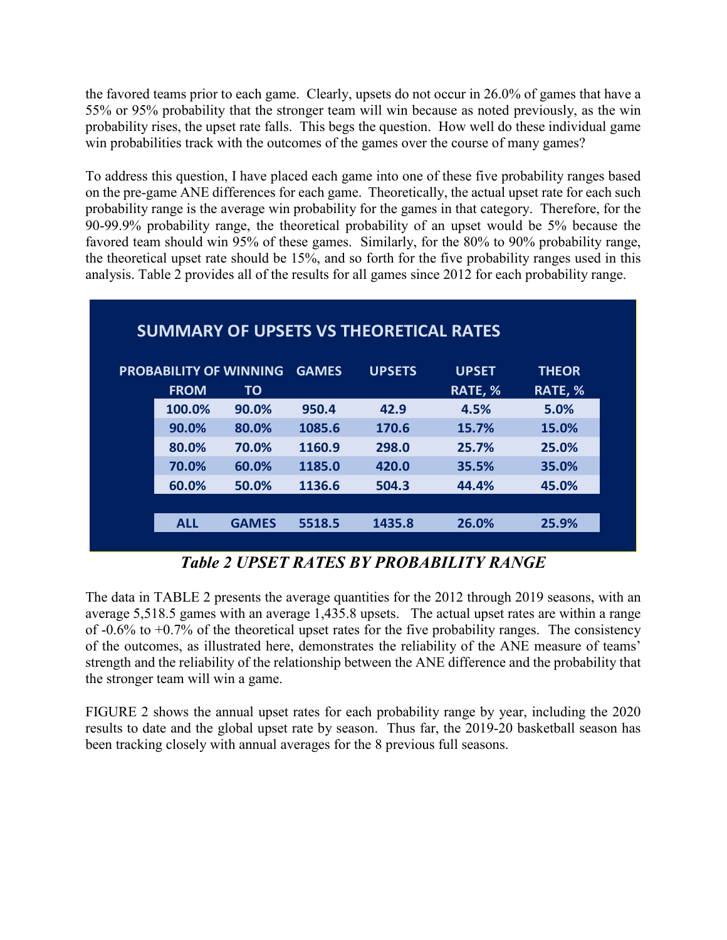the favored teams prior to each game. Clearly, upsets do not occur in 26.0% of games that have a 55% or 95% probability that the stronger team will win because as noted previously, as the win probability rises, the upset rate falls. This begs the question. How well do these individual game win probabilities track with the outcomes of the games over the course of many games?

To address this question, I have placed each game into one of these five probability ranges based on the pre-game ANE differences for each game. Theoretically, the actual upset rate for each such probability range is the average win probability for the games in that category. Therefore, for the 90-99.9% probability range, the theoretical probability of an upset would be 5% because the favored team should win 95% of these games. Similarly, for the 80% to 90% probability range, the theoretical upset rate should be 15%, and so forth for the five probability ranges used in this analysis. Table 2 provides all of the results for all games since 2012 for each probability range.

|             |                               |              | <b>SUMMARY OF UPSETS VS THEORETICAL RATES</b> |              |              |
|-------------|-------------------------------|--------------|-----------------------------------------------|--------------|--------------|
|             | <b>PROBABILITY OF WINNING</b> | <b>GAMES</b> | <b>UPSETS</b>                                 | <b>UPSET</b> | <b>THEOR</b> |
| <b>FROM</b> | <b>TO</b>                     |              |                                               | RATE, %      | RATE, %      |
| 100.0%      | 90.0%                         | 950.4        | 42.9                                          | 4.5%         | 5.0%         |
| 90.0%       | 80.0%                         | 1085.6       | 170.6                                         | 15.7%        | 15.0%        |
| 80.0%       | 70.0%                         | 1160.9       | 298.0                                         | 25.7%        | 25.0%        |
| 70.0%       | 60.0%                         | 1185.0       | 420.0                                         | 35.5%        | 35.0%        |
| 60.0%       | 50.0%                         | 1136.6       | 504.3                                         | 44.4%        | 45.0%        |
|             |                               |              |                                               |              |              |
| <b>ALL</b>  | <b>GAMES</b>                  | 5518.5       | 1435.8                                        | 26.0%        | 25.9%        |
|             |                               |              |                                               |              |              |

*Table 2 UPSET RATES BY PROBABILITY RANGE*

The data in TABLE 2 presents the average quantities for the 2012 through 2019 seasons, with an average 5,518.5 games with an average 1,435.8 upsets. The actual upset rates are within a range of  $-0.6\%$  to  $+0.7\%$  of the theoretical upset rates for the five probability ranges. The consistency of the outcomes, as illustrated here, demonstrates the reliability of the ANE measure of teams' strength and the reliability of the relationship between the ANE difference and the probability that the stronger team will win a game.

FIGURE 2 shows the annual upset rates for each probability range by year, including the 2020 results to date and the global upset rate by season. Thus far, the 2019-20 basketball season has been tracking closely with annual averages for the 8 previous full seasons.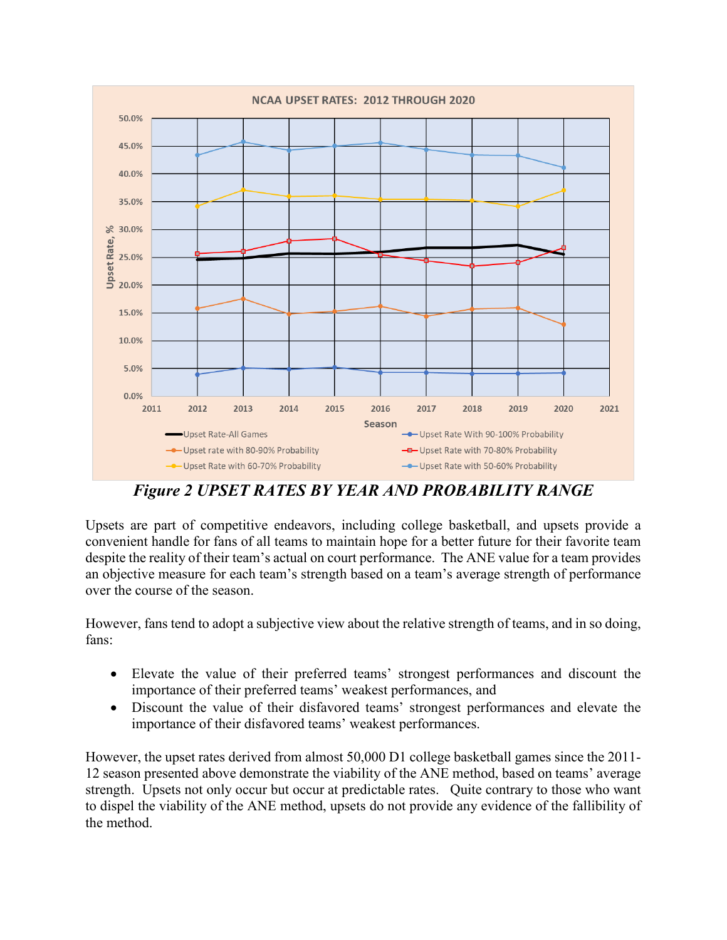

*Figure 2 UPSET RATES BY YEAR AND PROBABILITY RANGE*

Upsets are part of competitive endeavors, including college basketball, and upsets provide a convenient handle for fans of all teams to maintain hope for a better future for their favorite team despite the reality of their team's actual on court performance. The ANE value for a team provides an objective measure for each team's strength based on a team's average strength of performance over the course of the season.

However, fans tend to adopt a subjective view about the relative strength of teams, and in so doing, fans:

- Elevate the value of their preferred teams' strongest performances and discount the importance of their preferred teams' weakest performances, and
- Discount the value of their disfavored teams' strongest performances and elevate the importance of their disfavored teams' weakest performances.

However, the upset rates derived from almost 50,000 D1 college basketball games since the 2011- 12 season presented above demonstrate the viability of the ANE method, based on teams' average strength. Upsets not only occur but occur at predictable rates. Quite contrary to those who want to dispel the viability of the ANE method, upsets do not provide any evidence of the fallibility of the method.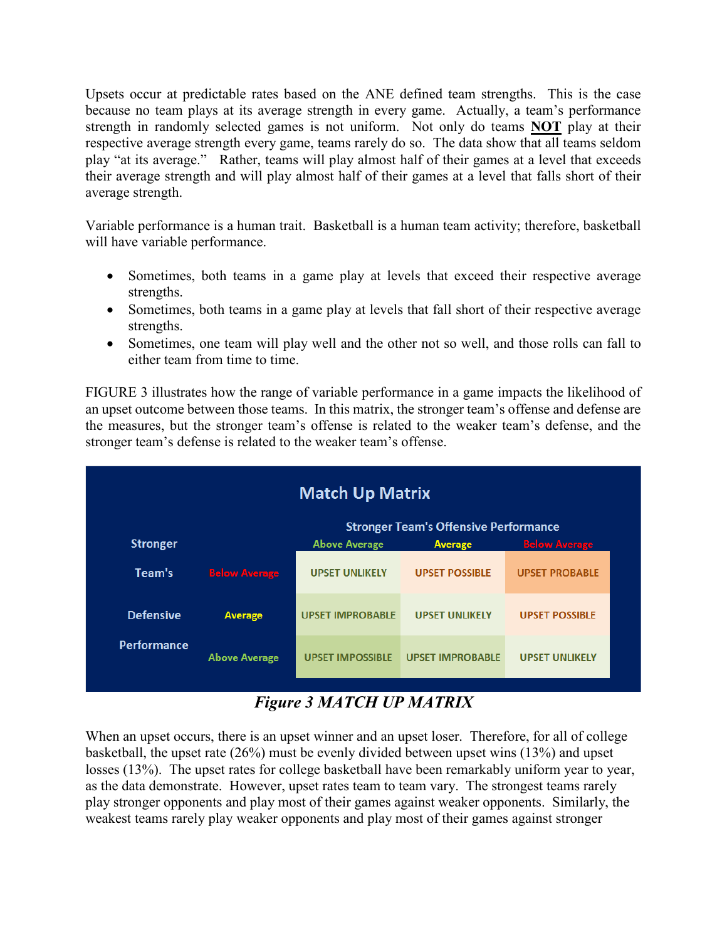Upsets occur at predictable rates based on the ANE defined team strengths. This is the case because no team plays at its average strength in every game. Actually, a team's performance strength in randomly selected games is not uniform. Not only do teams **NOT** play at their respective average strength every game, teams rarely do so. The data show that all teams seldom play "at its average." Rather, teams will play almost half of their games at a level that exceeds their average strength and will play almost half of their games at a level that falls short of their average strength.

Variable performance is a human trait. Basketball is a human team activity; therefore, basketball will have variable performance.

- Sometimes, both teams in a game play at levels that exceed their respective average strengths.
- Sometimes, both teams in a game play at levels that fall short of their respective average strengths.
- Sometimes, one team will play well and the other not so well, and those rolls can fall to either team from time to time.

FIGURE 3 illustrates how the range of variable performance in a game impacts the likelihood of an upset outcome between those teams. In this matrix, the stronger team's offense and defense are the measures, but the stronger team's offense is related to the weaker team's defense, and the stronger team's defense is related to the weaker team's offense.



## *Figure 3 MATCH UP MATRIX*

When an upset occurs, there is an upset winner and an upset loser. Therefore, for all of college basketball, the upset rate (26%) must be evenly divided between upset wins (13%) and upset losses (13%). The upset rates for college basketball have been remarkably uniform year to year, as the data demonstrate. However, upset rates team to team vary. The strongest teams rarely play stronger opponents and play most of their games against weaker opponents. Similarly, the weakest teams rarely play weaker opponents and play most of their games against stronger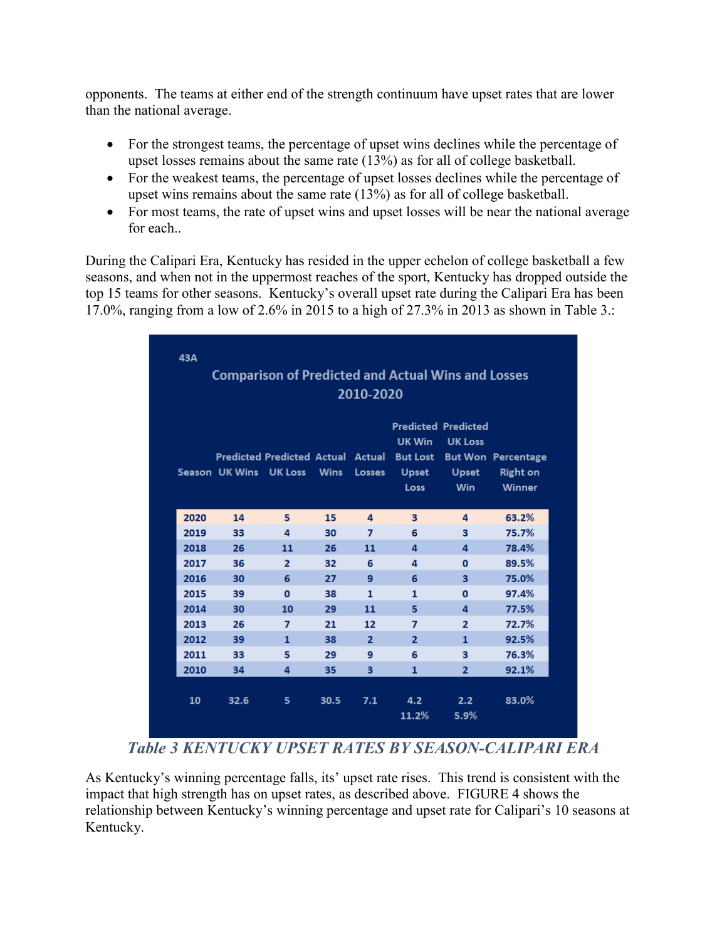opponents. The teams at either end of the strength continuum have upset rates that are lower than the national average.

- For the strongest teams, the percentage of upset wins declines while the percentage of upset losses remains about the same rate (13%) as for all of college basketball.
- For the weakest teams, the percentage of upset losses declines while the percentage of upset wins remains about the same rate (13%) as for all of college basketball.
- For most teams, the rate of upset wins and upset losses will be near the national average for each..

During the Calipari Era, Kentucky has resided in the upper echelon of college basketball a few seasons, and when not in the uppermost reaches of the sport, Kentucky has dropped outside the top 15 teams for other seasons. Kentucky's overall upset rate during the Calipari Era has been 17.0%, ranging from a low of 2.6% in 2015 to a high of 27.3% in 2013 as shown in Table 3.:

|      |                        |                                          |             | 2010-2020      | <b>Comparison of Predicted and Actual Wins and Losses</b> |                                                                            |                                                               |
|------|------------------------|------------------------------------------|-------------|----------------|-----------------------------------------------------------|----------------------------------------------------------------------------|---------------------------------------------------------------|
|      | Season UK Wins UK Loss | <b>Predicted Predicted Actual Actual</b> | <b>Wins</b> | <b>Losses</b>  | UK Win<br><b>But Lost</b><br><b>Upset</b><br><b>Loss</b>  | <b>Predicted Predicted</b><br><b>UK Loss</b><br><b>Upset</b><br><b>Win</b> | <b>But Won Percentage</b><br><b>Right on</b><br><b>Winner</b> |
| 2020 | 14                     | 5                                        | 15          | 4              | 3                                                         | 4                                                                          | 63.2%                                                         |
| 2019 | 33                     | 4                                        | 30          | $\overline{7}$ | 6                                                         | 3                                                                          | 75.7%                                                         |
| 2018 | 26                     | 11                                       | 26          | 11             | 4                                                         | 4                                                                          | 78.4%                                                         |
| 2017 | 36                     | $\overline{2}$                           | 32          | 6              | 4                                                         | $\mathbf{0}$                                                               | 89.5%                                                         |
| 2016 | 30                     | 6                                        | 27          | 9              | 6                                                         | 3                                                                          | 75.0%                                                         |
| 2015 | 39                     | $\mathbf{0}$                             | 38          | $\mathbf{1}$   | $\mathbf{1}$                                              | $\mathbf{0}$                                                               | 97.4%                                                         |
| 2014 | 30                     | 10                                       | 29          | 11             | 5                                                         | 4                                                                          | 77.5%                                                         |
| 2013 | 26                     | $\overline{7}$                           | 21          | 12             | 7                                                         | $\overline{2}$                                                             | 72.7%                                                         |
| 2012 | 39                     | $\mathbf{1}$                             | 38          | $\overline{2}$ | $\overline{2}$                                            | $\mathbf{1}$                                                               | 92.5%                                                         |
| 2011 | 33                     | 5                                        | 29          | 9              | 6                                                         | 3                                                                          | 76.3%                                                         |
| 2010 | 34                     | 4                                        | 35          | 3              | 1                                                         | $\overline{2}$                                                             | 92.1%                                                         |
| 10   | 32.6                   | 5                                        | 30.5        | 7.1            | 4.2                                                       | 2.2 <sub>2</sub>                                                           | 83.0%                                                         |

*Table 3 KENTUCKY UPSET RATES BY SEASON-CALIPARI ERA*

As Kentucky's winning percentage falls, its' upset rate rises. This trend is consistent with the impact that high strength has on upset rates, as described above. FIGURE 4 shows the relationship between Kentucky's winning percentage and upset rate for Calipari's 10 seasons at Kentucky.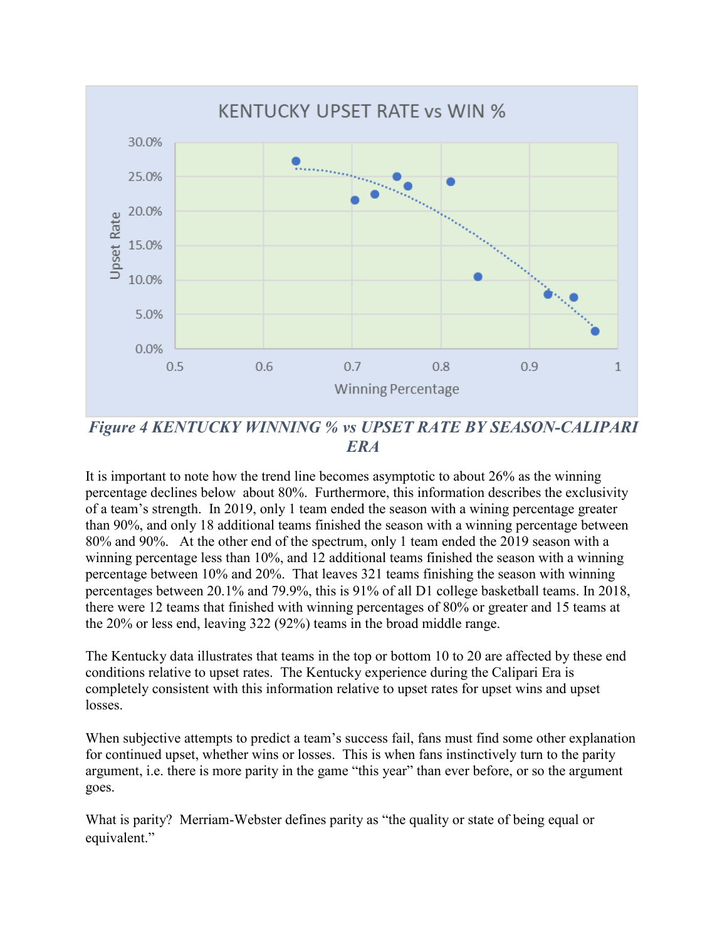

*Figure 4 KENTUCKY WINNING % vs UPSET RATE BY SEASON-CALIPARI ERA*

It is important to note how the trend line becomes asymptotic to about 26% as the winning percentage declines below about 80%. Furthermore, this information describes the exclusivity of a team's strength. In 2019, only 1 team ended the season with a wining percentage greater than 90%, and only 18 additional teams finished the season with a winning percentage between 80% and 90%. At the other end of the spectrum, only 1 team ended the 2019 season with a winning percentage less than 10%, and 12 additional teams finished the season with a winning percentage between 10% and 20%. That leaves 321 teams finishing the season with winning percentages between 20.1% and 79.9%, this is 91% of all D1 college basketball teams. In 2018, there were 12 teams that finished with winning percentages of 80% or greater and 15 teams at the 20% or less end, leaving 322 (92%) teams in the broad middle range.

The Kentucky data illustrates that teams in the top or bottom 10 to 20 are affected by these end conditions relative to upset rates. The Kentucky experience during the Calipari Era is completely consistent with this information relative to upset rates for upset wins and upset losses.

When subjective attempts to predict a team's success fail, fans must find some other explanation for continued upset, whether wins or losses. This is when fans instinctively turn to the parity argument, i.e. there is more parity in the game "this year" than ever before, or so the argument goes.

What is parity? Merriam-Webster defines parity as "the quality or state of being equal or equivalent."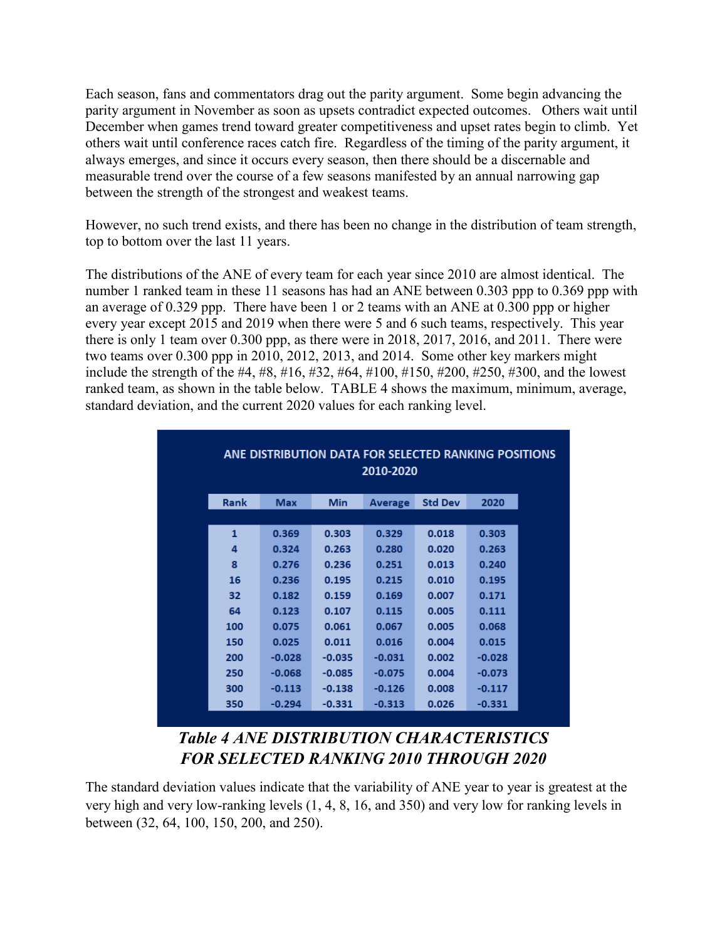Each season, fans and commentators drag out the parity argument. Some begin advancing the parity argument in November as soon as upsets contradict expected outcomes. Others wait until December when games trend toward greater competitiveness and upset rates begin to climb. Yet others wait until conference races catch fire. Regardless of the timing of the parity argument, it always emerges, and since it occurs every season, then there should be a discernable and measurable trend over the course of a few seasons manifested by an annual narrowing gap between the strength of the strongest and weakest teams.

However, no such trend exists, and there has been no change in the distribution of team strength, top to bottom over the last 11 years.

The distributions of the ANE of every team for each year since 2010 are almost identical. The number 1 ranked team in these 11 seasons has had an ANE between 0.303 ppp to 0.369 ppp with an average of 0.329 ppp. There have been 1 or 2 teams with an ANE at 0.300 ppp or higher every year except 2015 and 2019 when there were 5 and 6 such teams, respectively. This year there is only 1 team over 0.300 ppp, as there were in 2018, 2017, 2016, and 2011. There were two teams over 0.300 ppp in 2010, 2012, 2013, and 2014. Some other key markers might include the strength of the #4, #8, #16, #32, #64, #100, #150, #200, #250, #300, and the lowest ranked team, as shown in the table below. TABLE 4 shows the maximum, minimum, average, standard deviation, and the current 2020 values for each ranking level.

|      | ANE DISTRIBUTION DATA FOR SELECTED RANKING POSITIONS<br>2010-2020 |            |                |                |          |  |  |
|------|-------------------------------------------------------------------|------------|----------------|----------------|----------|--|--|
| Rank | <b>Max</b>                                                        | <b>Min</b> | <b>Average</b> | <b>Std Dev</b> | 2020     |  |  |
|      |                                                                   |            |                |                |          |  |  |
| 1    | 0.369                                                             | 0.303      | 0.329          | 0.018          | 0.303    |  |  |
| 4    | 0.324                                                             | 0.263      | 0.280          | 0.020          | 0.263    |  |  |
| 8    | 0.276                                                             | 0.236      | 0.251          | 0.013          | 0.240    |  |  |
| 16   | 0.236                                                             | 0.195      | 0.215          | 0.010          | 0.195    |  |  |
| 32   | 0.182                                                             | 0.159      | 0.169          | 0.007          | 0.171    |  |  |
| 64   | 0.123                                                             | 0.107      | 0.115          | 0.005          | 0.111    |  |  |
| 100  | 0.075                                                             | 0.061      | 0.067          | 0.005          | 0.068    |  |  |
| 150  | 0.025                                                             | 0.011      | 0.016          | 0.004          | 0.015    |  |  |
| 200  | $-0.028$                                                          | $-0.035$   | $-0.031$       | 0.002          | $-0.028$ |  |  |
| 250  | $-0.068$                                                          | $-0.085$   | $-0.075$       | 0.004          | $-0.073$ |  |  |
| 300  | $-0.113$                                                          | $-0.138$   | $-0.126$       | 0.008          | $-0.117$ |  |  |
| 350  | $-0.294$                                                          | $-0.331$   | $-0.313$       | 0.026          | $-0.331$ |  |  |

*Table 4 ANE DISTRIBUTION CHARACTERISTICS FOR SELECTED RANKING 2010 THROUGH 2020*

The standard deviation values indicate that the variability of ANE year to year is greatest at the very high and very low-ranking levels (1, 4, 8, 16, and 350) and very low for ranking levels in between (32, 64, 100, 150, 200, and 250).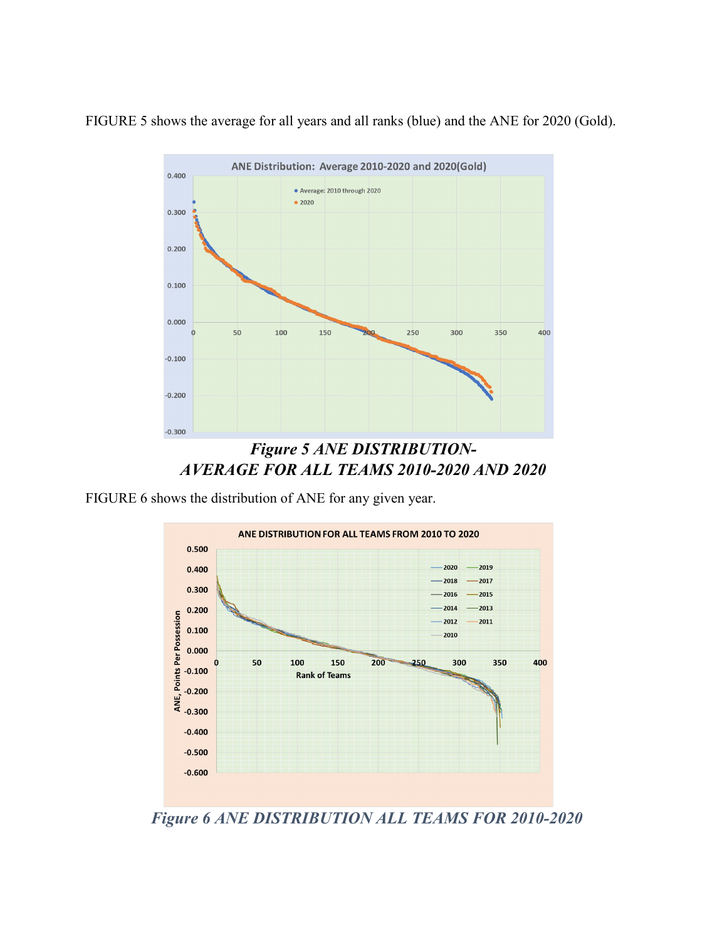FIGURE 5 shows the average for all years and all ranks (blue) and the ANE for 2020 (Gold).



*AVERAGE FOR ALL TEAMS 2010-2020 AND 2020*

FIGURE 6 shows the distribution of ANE for any given year.



*Figure 6 ANE DISTRIBUTION ALL TEAMS FOR 2010-2020*